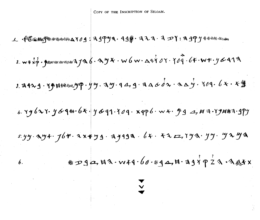COPY OF THE INSCRIPTION OF SILOAM.

2. w 4  $\dot{x}$   $\dot{p}$  ·  $\dot{y}$  mm mm mm mm  $A$  J  $A$   $6 \cdot A$   $\dot{y}$   $x$   $\cdot$  W  $6$  W  $\cdot$   $\Delta$  "x  $\dot{Y}$   $\dot{o}$   $Y \cdot \gamma$  $\dot{o}$   $\ddot{q}$   $\cdot$  6+ $\cdot$  W  $\vdots$   $\dot{y}$   $\dot{o}$  41  $\ddot{z}$  $\frac{1}{2}$   $\frac{1}{2}$ 3. 2129. 79日444444.79 · J Y. 2 Y. 9 4, 9. 2 a 6 d x · 2 a y. 709. 6 × · \* 9 4.  $xy$ 627.  $y$ 694.  $6x$ .  $y$ 691.  $709.$  x9p6. w  $x.$   $y$ 9  $a$ ,  $H = 1.$ ry $4$ 162.  $9$  $s. y. y \cdot x. y + y.$   $j_0 + x + y.$   $j_1 + j_2 + j_3 + j_4 + k_1 + k_2 + k_3 + k_3 + k_4 + k_5$ 47990, H3. W44. 60. 494, H. 397923. A Atx *6.*  • **v**  ..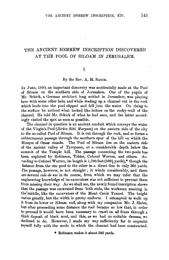# THE ANCIENT HEBREW INSCRIPTION DISCOVERED AT THE POOL OF SILOAM IN JERUSALEM.

#### I.

#### By the Rev. A. H. SAYCE.

In June, 1880, an important discovery was accidentally made at the Pool of Siloam on the southern side of Jerusalem. One of the pupils of Mr. 'Schick, a German architect long settled in Jerusalem, was playing here with some other lads, and while wading up a channel cut in the rock which leads into the pool slipped and fell into the water. On rising to the surface he noticed what looked like letters on the rocky-wall of the channel. He told Mr. Schick of what he had seen, and the latter accordingly visited the spot as soon as possible.

The channel in question is an ancient conduit which conveys the water of the Virgin's Pool *(Birket Sitti Maryam)* on the eastern side of the city to the so-called Pool of Siloam. It is cut through the rock, and so forms a subterranean passage through the southern spur of the hill on which the Mosque of Omar stands. The Pool of Siloam lies on the eastern side of the ancient valley of Tyropceon, at a considerable depth below the summit of the Temple hill. The passage connecting the two pools has been explored by Robinson, Tobler, Colonel Warren, and others. Ac cording to Colonel Warren, its length is  $1,708$  feet (569 $\frac{1}{3}$  yards),\* though the listance from the one pool to the other in a direct line is only 368 yards. fhe passage, however, is not straight ; it winds considerably, and there are several *culs de sac* in its course, from which we may infer that the engineering knowledge of its excavators was not sufficient to prevent them from missing their way. As we shall see, the newly found inscription shows that the passage was excavated from both ends, the workmen meeting in the middle, like the excavators of the Mont Cenis Tunnel. The height varies greatly, but the width is pretty uniform. I attempted to walk up it from its lower or Siloam end, along with my companion Mr. J. Slater, but after proceeding some distance the roof became so low that, in order to proceed it would have been necessary to crawl on all fours through a thick deposit of black mud, and this, as we had no suitable dresses, we declined to do. However, I made my way sufficiently far to acquaint myself fully with the mode in which the channel had been constructed.

\* Robinson makes it about 586 yards.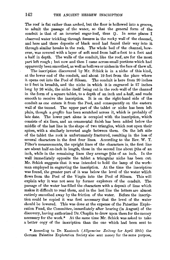The roof is flat rather than arched, but the floor is hollowed into a groove, to admit the passage of the water, so that the general form of the conduit is that of an inverted sugar-loaf, thus O. In some places I observed water trickling through fissures in the rocky wall of the channel, and here and there deposits of black mud had found their way into it. through similar breaks in the rock. The whole bed of the channel, however, was covered with a layer of soft mud from half-a-foot to a foot and a half in depth. The walls of the conduit, like the roof, are for the most. part left rough ; but now and then I came across small portions which had apparently been smoothed, as well as hollows or niches in the face of thew all.

The inscription discovered by Mr. Schick is in a niche of this kind, at the lower end of the conduit, and about 19 feet from the place where it opens out into the Pool of Siloam. The conduit is here from 20 inches to 2 feet in breadth, and the niche in which it is engraved is 27 inches long by 26 wide, the niche itself being cut in the rock-wall of the channel in the form of a square tablet, to a depth of an inch and a-half, and made smooth to receive the inscription. It is on the right-hand side of the conduit as one enters it from the Pool, and consequently on the eastern wall of the tunnel. The upper part of the tablet or niche has been left plain, though a *graffito* has been scratched across it, which is probably of late date. The lower part alone is occupied with the inscription, which consists of six lines, and an ornamental finish has been added below the middle of the last line in the shape of two triangles, which rest upon their apices, with a similarly inverted angle between them. On the left side of the tablet the rock is unfortunately fractured, resulting in the loss of several characters in the first four lines. According to the Rev. W. T. Filter's measurements, the upright lines of the characters in. the first line are about half-an-inch in length, those in the second line about  $\frac{3}{5}$ ths of an inch, while in the remaining lines they average  $\frac{a}{b}$ ths of an inch. In the wall immediately opposite the tablet a triangular niche has been cut. Mr. Schick suggests that it was intended to hold the lamp of the workman employed in engraving the inscription. At the time the inscription was found, the greater part of it was below the level of the water which flows from the Pool of the Virgin into the Pool of Siloam. This will explain why it was not seen by former explorers of the conduit. The passage of the water has filled the characters with a deposit of lime which makes it difficult to read them, and in the last line the letters are almost entirely smoothed away by the friction of the water. Before the inscription could be copied it was first necessary that the level of the water should be lowered. This was done at the expense of the Palestine Exploration Fund, the Committee, immediately after hearing (in August) of the discovery, having authorized Dr. Chaplin to draw upon them for the money necessary for the work.\* *At* the same time Mr. Schick was asked to take a better copy of the inscription than the one which had been sent to

• According to Dr. Kautzsch *(Allgemeine Zeitung* for April 29th) the-German Palestine Exploration Society also sent money for the same purpose,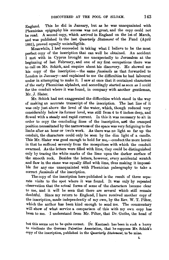England. This he did in January, but as he was unacquainted with Phrenician epigraphy his success was not great, and the copy could not be read. A second copy, which arrived in England on the lst of March, and was published in the last *Quarterly Statement* of the Fund (April 1881), proved equally unintelligible. .

 $M$ eanwhile, I had succeeded in taking what I believe to be the most perfect copy of the inscription that can well be obtained. An accident I met with in Cyprus brought me unexpectedly to Jerusalem at the beginning of last February, and one of my first occupations there was to call on Mr. Schick, and enquire about his discovery. He showed me his copy of the inscription - the same *facsimile* as that forwarded to London in January-and explained to me the difficulties he had laboured under in attempting to make it. I saw at once that it contained characters of the early Phœnician alphabet, and accordingly started as soon as I could for the conduit where it was found, in company with another gentleman, Mr. J. Slater.

Mr. Schick had not exaggerated the difficulties which stood in the way of making an accurate transcript of the inscription. The last line of it was only just above the level of the water, which, though reduced very considerably below its former level, was still from 4 to 6 inches deep, and flowed with a steady and rapid current. In this it was necessary to sit in order to copy the concluding lines of the inscription, and the cramped position necessitated by the narrowness of the space was very fatiguing to the limbs after an hour or two's work. As there was no light so far up the conduit, the characters could only be seen by the dim light of a candle. This Mr. Slater was good enough to hold for me,-conduct the more heroic in that he suffered severely from the mosquitoes with which the conduit swarmed. As the letters were filled with lime, they could be distinguished only by tracing the white marks of the lime upon the darker surface of the smooth rock. Besides the letters, however, every accidental scratch . and flaw in the stone was equally filled with lime, thus making it impossible for any one unacquainted with Phœnician palæography to take a correct *facsimile* of the inscription.

The copy of the inscription here published is the result of three separate visits to the spot where it was found. It was only by repeated observation that the actual forms of some of the characters became clear to me, and it will be seen that there are several which stili remain doubtful. Since my return to England, I have received another copy of the inscription, made independently of my own, by the Rev. W. T. Pilter, which the author has been kind enough to send me. The commentary will show of what service a comparison of this with my own copy has been to me. I understand from Mr. Pilter, that Dr. Guthe, the head of

but this seems not to be quite correct. Dr. Kautzsch has been in such a hurry to vindicate the German Palestine Association, that he supposes Mr. Schick's copy of the inscription, published in the *Quarterly Statement,* to be mine.

L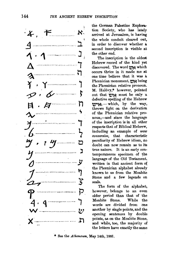

the German Palestine Exploration Society, who has lately arrived at Jerusalem, is having the whole conduit cleared out, in order to discover whether a second inscription is visible at the other end.

The inscription is the oldest Hebrew record of the kind yet discovered. The word the which occurs thrice in it made me at one time believe that it was 8. Phœnician monument, the being the Phœnician relative pronoun. M. Halévy,\* however, pointed out that  $\mathbf{v}\times\mathbf{w}$  must be only a defective spelling of the Hebrew 't?rl~. - which, by the way, throws light on the derivation of the Phœnician relative pronoun,-and since the language of the inscription is in all other respects that of Biblical Hebrew, including an example of waw *coriversive,* that characteristic peculiarity of Hebrew idiom, no doubt can now remain as to its true nature. It is an early contemporaneous specimen of the language of the Old Testament, written in that ancient form of the Phœnician alphabet already known to us from the Moabite Stone and a few legends on seals.

The form of the alphabet, however, belongs to an even older period than that of the Moabite Stone. While the words are divided from one another by single points, and the opening sentences by double points, as on the Moahite Stone, and while, too, the majority of the letters have exactly the same

See the *Athenaum*, May 14th, 1881.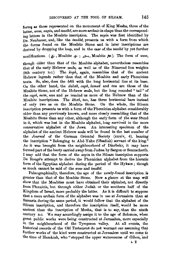forms as those represented on the monument of King Mesha, three of the latter, waw, zayin, and *tsadhe*, are more archaic in shape than the corresponding letters in the Moabite inscription. The *zayin* was first identified by Dr. Neubauer, and, like the *tsadht*, presents us with a form from which the forms found on the Moabite Stone and in later inscriptions are derived by dropping the loop, and in the case of the tsadhe by yet further

modifications. ( $\&$ , Moabite  $\&$ ;  $\triangle$ , Moabite  $\&$ ). The form of *waw*,

though older than that of the Moabite alphabet, nevertheless resembles that of the early Hebrew seals, as well as of the Nimroud lion weights (8th century B.c.) The *koph,* again, resembles that of the ancient Hebrew legends rather than that of the Moabite and early Phœnician texts. So, also, does the *Mth* with the long horizontal line at its base. On the other · hand, the *daleth, caph, lamed* and *tau* are those of the Moabite Stone, not of the Hebrew seals, but the long rounded "tail" of the *cqph, mem, nun* and pe remind us more of the Hebrew than of the Moabite inscriptions. The *kheth*, too, has three horizontal bars instead of only two as on the Moabite Stone. On the whole, the Siloam inscription presents us with a form of the Phœnician alphabet considerably older than any previously known, and more closely resembling that of the Moabite Stone than any other, although the early form of the waw found in it, which was lost in the Moabite alphabet, long survived in the more conservative alphabet of the Jews. An interesting specimen of the alphabet of the ancient Hebrew seals will be found in the last number of the *Journal* of the German Oriental Society (xxxiv, 4), bearing the inscription "Belonging to Abd-Yahu (Obadiah) servant of the king." .As it was brought from the neighbourhood of Diarbekr, it may have formed part of the booty carried away from Judæa by Sargon or Sennacherib. I may add that the form of the *zayin* in the Siloam inscription supports De Rougé's attempt to derive the Phœnician alphabet from the hieratic form of the Egyptian alphabet during the period of the Hyksos ; though as much cannot be said of the *waw* and *tsadhe*.

Palæographically, therefore, the age of the newly-found inscription is greater than that of the Moabite Stone. Now a glance at the map will show that the Moabites must have obtained their alphabet, not directly from Phœnicia, but through either Judah or the southern half of the Kingdom of Israel, more probably the latter. As it is difficult to suppose that a more archaic form of the alphabet was in use at Jerusalem than ·at Samaria during the same period, it wonld follow that the alphabet of the Siloam inscription, and therefore the inscription itself, would be more ancient than the inscription of Mesha, that is to say, than the ninth century n.c. We may accordingly assign it to the age of Solomon, when great public works were being constructed at Jerusalem, more especially in the neighbourhood of the Tyropoeon valley. At all events, the historical records of the Old Testament do not warrant our assuming that further works of the kind were constructed at Jerusalem until we come to the time of Hezekiah, who "stopped the upper watercourse of Gihon, and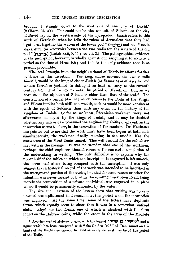brought it straight down to the west side of the city of David." (2 Chron. 32, 30.) This could not be the conduit of Siloam, as the city of David lay on the western side of the Tyropœon. Isaiah refers to this work of Hezekiah when he tells the rulers of Jerusalem that they had " gathered together the waters of the lower pool" (ברכה) and had " made also a ditch (or reservoir) between the two walls for the waters of the old pool" (**Fermion )** (Isaiah xxii, 9, 11; see vii, 3.) The palæographical evidence of the inscription, however, is wholly against our assigning it to so late a period as the time of Hezekiah ; and this is the only evidence that is at present procurable.

The seal brought from the neighbourhood of Diarbekr affords further evidence in this direction. The king, whose servant the owner calls himself, would be the king of either Judah (or Samaria) or of Assyria, and we are therefore justified in datiug it as least as early as the seventh century B.C. This brings us near the period of Hezekiah. But, as we have seen, the alphabet of Siloam is older than that of the seal.\* The construction of a tunnel like that which connects the Pools of the Virgin and. Siloam implies both skill and wealth, such as would be more consistent with the epoch of Solomon than with any other in the history of the kingdom of Judah. So far as we know, Phornician workmen were not afterwards employed by the kings of Judah, and it may be doubted whether any native Jew possessed the engineering ability displayed, as the inscription seems to show, in the excavation of the conduit. Dr. Neubauer has pointed out to me that the work must have been begun at both ends  $s$ imultaneously, the workmen finally meeting in the middle, like the excavators of the Mont Cenis tunnel. This will account for the *culs* de *sac*  met with in the passage. It was no wonder that one of the workmen, perhaps the chief engineer himself, recorded the successful completion of the undertaking in writing. The only difficulty is to explain why the upper half of the tablet in which the inscription is engraved is left smooth, the lower half alone being occupied with the inscription. I can only suggest that a historical record of the work was intended to be inscribed in the unengraved portion of the tablet, but that for some reason or other the intention was never carried out, while the existing inscription itself, being merely the composition of a private individual, was engraved in a place where it would be permanently concealed by the water.

The size and clearness of the letters show that writing was no very unusual accomplishment in Jerusalem at the period when the inscription was engraved. At the same time, some of the letters have duplicate forms, which equally seem to show that it was in a somewhat unfixed state. *Aleph* has two forms, one of which is identical with the form found on the Hebrew coins, while the other is the form of the Moabite

\* Another seal of Hebrew origin, with the legend משמעיהו בן ה<br/>and a figure which has been compared with " the Golden Calf" of Dan, found on the banks of the Euphrates, cannot be cited as evidence, as it may be of the period of the Exile.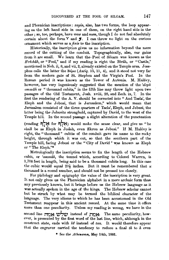and Phœnician inscriptions : *zayin*, also, has two forms, the loop appearing on the left hand side in one of them, on the right hand side in the other ; so, too, perhaps, have *waw* and *mem,* though I do not feel absolutely certain about the form  $Y$  and  $\boldsymbol{\mathcal{J}}$ . I can throw no light on the curious ornament which serves as a *finis* to the inscription.

Historically, the inscription gives us no information beyond the mere record of the cutting of the conduit. Topographically, also, our gains from it are small. We learn that the· Pool of Siloam was known as the *B*'rechah, or "Pool," and if my reading is right the Birah, or "Castle," mentioned in Neh. ii, 8, and vii, 2, already existed on the Temple area. Josephus calls the latter the *Bdp•s (Antiq.* 15, ll, 4), and it stood not very far from the modern gate of St. Stephen and the Virgin's Pool. In the Roman period it was known as the Tower of Antonia. M. Halévy, however, has very ingeniously suggested that the mention of the *'deph ammah* or "thousand cubits," in the fifth line may throw light upon two passages of the Old Testament, Josh. xviii, 28, and Zech. ix, 7. In the first the rendering of the A. V. should be corrected into "And Tsela.', the Eleph and the Jebusi, that is Jerusalem," which would mean that Jerusalem consisted of the tliree quarters of Tsela', Eleph, and Jebusi, the latter being the Jebusite stronghold, captured by David, to the west of the Temple hill. In the second passage a slight alteration of the punctuation (reading 1:1~~ **for** 1:1~~) would make the sense clear, and give us "he shall be as Eleph in Judah, even Ekron as Jebusi." If M. Halévy is right, the "thousand" cubits of the conduit gave its name to the rocky height, through which it was cut, so that the southern part of the

Temple hill, facing Jebusi or the "City of David" was known as Eleph or " The Eleph."\*

Metrologically the inscription seems to fix the length of the Hebrew cubit, or *'ammah,* the tunnel which, according to Colonel Warren, is 1,708 feet in length, being said to be a thousand cubits long. In this case the cubic would equal  $20\frac{1}{2}$  inches. But it must be remembered that a thonsand is a round number, and should not be pressed too closely.

For philology and epigraphy the value of the inscription is very great. It not only gives us the Phoenician alphabet in a more archaic form than any previously known, but it brings before us the Hebrew language as it was actually spoken in the age of the kings. The Hebrew scholar cannot but be struck hy what may be termed the biblical character of the language. The very idioms to which he has been accustomed in the Old Testament reappear in this ancient record. At the same time it offers more than one peculiarity. Unless my reading is wrong, we have in the second line **increase instead of <b>INON**. The same peculiarity, however, is presented by the first word of the last line, which, although in the construct state, ends with  $h\ell$  instead of *tau*. It would therefore appear that the engraver carried the tendency to reduce a final *th* to *h* even

\* See the *Athenaum*, May 14th, 1881.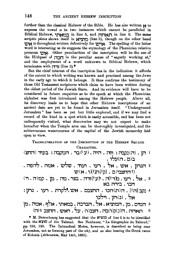further than the classical Hebrew of the Bible. He has also written  $\boldsymbol{\omega}$  to express the vowel *a* in two instances which cannot be paralleled in Biblical Hebrew, תאחה in line 5, and  $n_{\text{N}}$  in line 6. The same *1uriptio pl,ena* shows itself in N"~O (line 5), though on the other hand 'IVN is throughout written defectively for 'IV"N· The spelling of the latter word is interesting as its suggests the etymology of the Phomician relative pronoun **\'>N**. Other peculiarities of the inscription will be the use of the Hithpael of  $\prod_{n=1}^{\infty}$  in the peculiar sense of " eagerly working at," and the employment of a word unknown to Biblical Hebrew, which terminates with  $\uparrow\uparrow\uparrow$  (line 3).\*

But the chief interest of the inscription lies in the indication it affords of the extent to which writing was known and practised among the Jews in the early age to which it belongs. It thus confirms the testimony of those Old Testament scriptures which claim to have been written during the oldest period of the Jewish State. And its evidence will bave to be considered in future enquiries as to the epoch at which the Phœnician alphabet was first introduced among the Hebrew people. Above all, its discovery leads us to hope that other Hebrew inscriptions of an ancient date are yet to be found in Jerusalem itself. "Underground Jerusalem" has been as yet but little explored, and if we may find a record of the kind in a spot which is easily accessible, and has been not unfrequently visited, what discoveries may we not expect to make hereafter when the Temple area can be thoroughly investigated, and the subterranean watercourses of the capital of the Jewish monarchy laid open to view.

TRANSLITERATION OF THE INSCRIPTION IN THE HEBREW SQUARE CHARACTER.

- (ה) והן הוחצ) הן: יחז היה היה המקבה ו $\mathbf{r}:T$ ות הוחצ  $\mathbf{r}:\mathbf{r}:Y$ ב(ם
- $\cdot$  דגרזן  $\cdot$  אש $\cdot$  אל  $\cdot$  רעו $\cdot$  ועוד  $\cdot$  שלש  $\cdot$  אמה  $\cdot$  להפה  $\cdot$  $U(\mathbf{N} \cdot \mathbf{N}^{\text{th}})$  ,  $[\mathbf{G}^{\text{th}}]$ י החצבי)
	- $($ י אל. רעו. מר $\mathbb{F}^1$ ה תעי $\mathbb{F}^1$ ודה . בצר. מה . מ $\mathbb{F}$  . קמ חנו . בירה בא
	- qt"'l.l 'lY"'I l'1"'1j?i,~. 'IVN o::i~nil i~n < ri > *n* . [1 nJ :::i.p.J <sup>4</sup>  $r$ אל . (ג)רזן . וילכו
- המים . מן . המוציא . אל . הברכה . במאתי . אלף . אמה . מן  $^5$ י תאחה . ה(נ)ק(ו)בה . חצב(ו) . על . ראש . החצב ז *(*ה)

• M. Derembourg has suggested that the N'YID of line 5 is to be identified with the NYID of the Talmud. See Neubauer, "La Géographie du Talmud," pp. 152, 153. The Talmudical Motsa, however, is described as being near Jerusalem, not as forming part of the city, and as also bearing the Greek name of Kolonia (Athenaum, May 14th, 1881).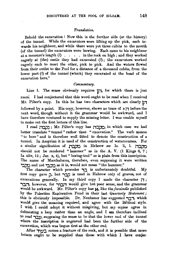## *Translation.*

Behold the excavation! Now this is the further side (or the history) of the tunnel. While the excavators were lifting up the pick, each towards his neighbour, and while there were yet three cubits to the mouth (of the tunnel) the excavators were hewing. Each came to his neighbour at a measure's length  $(?)$ . . . in the rock on high; and they worked eagerly at (the) castle they had excavated  $(1)$ ; the excavators worked eagerly each to meet the other, pick to pick. And the waters flowed from their outlet to the Pool for a distance of a thousand cubits, from the lower part (?) of the tunnel (which) they excavated at the head of the excavation here."

#### *Commentary.*

Line 1. The sense obviously requires **line** for which there is just room. I had conjectured that this word ought to be read when I received Mr. Pilter's copy. In this he has two characters which are clearly **li1**  followed by a point. His copy, however, shows no trace of a **iT** before the next word, though without it the grammar would be awkward, and I have therefore ventured to supply the missing letter. I was unable myself to make out the first letters of this line.

I read  $\sum$ ן ; Mr. Pilter's copy has *compution*, in which case we had better translate "tunnel" rather than "excavation." The verb means " to bore " and is therefore well fitted to denote the construction of a tunnel. In Assyrian it is used of the construction of watercourses. For a similar signification of **ri:ipo** in He brew *see* Is. li, 1. **il:lj)O**  should not be rendered " hammer" as in the A. V.  $(1 \text{ Kings } 6, 7;$ Is.  $xliv$ , 12; Jer.  $x$ , 4), but "boriug-tool" as is plain from this inscription. The name of Macchabæus, therefore, even supposing it were written .. and not right as it is, would not mean "the hammer."

The character which precedes **.,:l** is uufortunately doubtful. My first copy gave <sub>ה</sub>, but כבר is used in Hebrew only of graves, not of excavations genemlly. In my third copy I made the character **iT** ; **..,'.lil,** however, for **-,i:in** would give but poor sense, aud the grammar would be awkward. Mr. Pilter's copy has  $\aleph$ , like the *facsimile* published by the Palestine Exploration Fund in their last *Quarterly Statement*; this is obviously impossible. Dr. Neubauer has suggested  $\tau$ , which would give the meaning required, and agree with the Biblical style. I wish I could adopt it without misgiving, but my copies agree in delineating a loop rather than an angle, and I am therefore inclined to read **Ty**, supposing the sense to be that the lower end of the tunnel where the inscription is engraved had been the further side of the excavation, which was begun first at the other end.

After **i** <u>rive</u> comes a fracture of the rock, and it is possible that more letters ought to be supplied than those with which I have conjec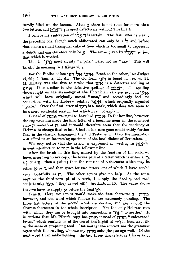turally filled up the lacuna. After  $\mathbf{r}$  there is not room for more than  $t$ two letters, and  $\frac{1}{\sqrt{2}}$ is spelt defectively without , in line 4.

I believe my restoration of  $\overrightarrow{y}$ **is certain.** The last letter is clear; the preceding one, though much obliterated, can only be a  $\frac{1}{2}$ , and before that comes a small triangular cake of lime which is too small to represent a *daleth*, and can therefore only be *y*. The sense given by *ה*יצלו is just that which is wanted.

Line 2. **l'n;\** must signify "a pick" here,· not an "axe." This will be also its meaning in I Kings vi, 7.

For the Biblical idiom **il'"'I SN** 'IV'~N, "each to the other," *see* Judges vi, 29; 1 Sam. x, 11, &c. The old form **i.V"'I** is found in Jer. vi, 21. M. Halevy was the first to notice that  $\mathbf{w}$ , is a defective spelling of ~N· It is similar to the defective spelling of O:l~M. The spelling throws light on the etymology of the Phoenician relative pronoun **'ty's**, which will have originally meant "man," and accordingly had no connection with the Hebrew relative **"'l'tV'N,** which originally signified "place." Over the first letter of **v**y is a mark, which does not seem to be a mere accidental scratch, but which I cannot explain.

Instead of **:itiN** we ought to have had **li'CN·** In the last line, however, the engraver has made the final letter of a feminine noun in the construct state **i** instead of **r**, and it would therefore seem that the tendency of Hebrew to change final *th* into *h* had ia his case gone considerably further than in the classical language of the Old Testament. If so, the inscription will afford us an interesting specimen of the local dialect of Jerusalem.

We may notice that the article is expressed in writing in  $\tau$ in contradistinction to  $\gamma y$  in the following line.

.After the break in this line, caused by the fracture of the rock, we have, according to my copy, the lower part of a letter which is either a  $\Box$ , a **l•** or a **':J;** then a point; then the remains of a character which may be either **N** or  $\bar{p}$ , and then space for two letters, one of which I have copied very doubtfully as  $\Gamma$ . The other copies give no help. As the sense requires the third pers. pl. of a verb, I supply the final **i,** and read conjecturally i~j?. " they hewed off." *See* Hab. ii, 10. The sense shows that we have to supply  $\aleph$  before the final  $\aleph$ .

Line 3. Here my copies would make the first character **:J.. jT,'Q,**  however, and the word which follows it, are extremely puzzling. The three last letters of the second word are certain, and are among the clearest characters in the whole inscription. Yet the only Hebrew root with which they can be brought into connection is **דור** "to seethe." It is curious that Mr. Pilter's copy has. מרדה instead of מצדה, "unleavened bread," which reminds us of the use of the hiphil of **T**); in Gen. xxv, 29, in the sense of preparing food. But neither the context nor the grammar agree with this reading, whereas my  $_{\text{TT}7}$  suits the passage well. Of the next word. I can make nothing; the last three characters, as I have said,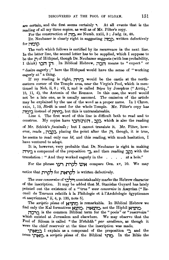are certain, and the first seems certainly **''**. At all events that is the reading of all my three copies, as well as of Mr. Pilter's copy.

For the construction of **no.** Bee Numb. xxiii, 3; Judg. ix, 48.

Dr. Neubauer is clearly right in suggesting <sub>ו</sub> for **noij?·** 

The verb which follows is certified by its recurrence in the next line. In the latter line, the second letter has to be supplied, which I suppose to be the **r** of Hithpael, though Dr. Neubauer suggests (with less probability, I think) **i:in lil·** . In Biblical Hebrew, **;,:in** means to " expect" or " desire eagerly ; " here the Hithpael would have the sense of "working eagerly at" a thing.

If my reading is right, **m.,::i.** would be the castle at the northeastern corner of the Temple area, near the Virgin's Pool, which is mentioned in Neh. ii,  $8$ ; vii,  $2$ , and is called Bapis by Josephus ("Antiq.," 15, 11, 4), the Antonia of the Romaus. In this case, the word would not be a late one, as is usually assumed. The omission of the article may be explained by the use of the word as a proper name. In 1 Chron. xxix, 1, 19, *Btrah* is used for the whole Temple. Mr. Pilter's copy has **jl'Q'l'.:l.** instead of **iTi'l'.:l.,** but this is untranslateable.

Line 4. The· first word of this line is difficult both to read and to construe. My copies have כְקֶב . ה(ת) הכו which is also the reading of Mr. Schick's *facsimile;* but I cannot translate it. Mr. Pilter, however, reads , **july**), placing the point after the *j*, though, it is true, he seems to read only one  $h\ell$ , and this reading, with much hesitation, I have ventured to adopt.

It is, however, very probable that Dr. Neubauer is right in making **il"'\'l'.:l.** a compound of the preposition **-::i.,** and then reading **:Ji'::l** with the translation : " And they worked eagerly in the  $\ldots$ , at a hole."

For the phrase **i;iri ti"'lif, 'iVN** compare Gen. xv, 10. We may notice that **ti"'lj?t,** for **t1N"'lj?t,** is written defectively.

The *waw conversive* of i~t,.,, unmistakeably marks the Hebrew character of the inscription. It may be added that M. Stanislas Guyard has lately pointed out the existence of a "true " *waw conversive* in Assyrian (" Recueil de Travaux relatifs a la Philologie et a l'Archeologie egyptiennes et assyriennes," ii, 4, p. 135, note 5).

The *scriptio plmia* of N.,~'D is remarkable. In Biblical Hebrew we find only the Kal formatives מִיצְאָה, not the Hiphil **N**.

**:"l:J"'l'.:l.** is the common Biblical term for the " pools" or ".reservoirs" which existed at Jerusalem and elsewhere. We may observe that the Pool of Siloam is called " the B'rêchâh" par excellence, as though it were the chief reservoir at the time the inscription was made.

"l1~'.:l. I explain as a compound of the prepositi-On **·:i.** and the noun **'lt1N'Q,.** a *scriptio plmia* of. the Bil)lical **'lt1'Q.** In the Bible the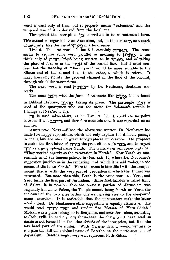word is used only of time, but it properly means " extension," and the temporal use of it is derived from the local one.

**Throughout the inscription <b>lO** is written in its uncontracted form. This cannot be regarded as an Aramaism, but, on the contrary, as a mark of antiquity, like the use of **.,tiNO** in a local sense.

Line 6. The first word of line 6 is certainly **i1MNti.** The sense seems to require some word parallel in meaning to **N.P. I can** think only of **הקה**, *'aleph* being written as in **in iting**, and *Me* taking the place of *tau*, as in the **index** of the second line. But I must confess that the meaning of " lower part " would be more suitable to the Siloam end of the tunnel than to the other, to which it refers. It may, however, signify the grooved channel in the floor of the conduit, through which the water flows.

The next word is read **il:lij?:li1** by Dr. Neubauer, doubtless correctly.

The noun אָצָב, with the form of abstracts like **WN**, is not found in Biblical Hebrew, מחצב taking its place. The participle  $\frac{1}{2}$  is used of the quarrymen who cut the stone for Solomon's temple in 1 Kings v, 15 *(Heb.* v. 29). .

**ill** is used adverbially, as in Dan. x, 17. I could see no point between it and  $\prod_{r=0}^{n}$ , and therefore conclude that it was regarded as an enclitic.

ADDITIONAL NoTE.-Since the above was written, Dr. Neubauer has made two happy suggestions, which not only explain the difficult passage in line 3, but are also of great topographical importance. He proposes to make the first letter of **בירה** the preposition as in ... **m.,** as a geographical name Yerah. The translation will accordingly be : "They worked eagerly at the excavation in Yerah." Now Yerah at once reminds us of the famous passage in Gen. xxii, 14, where Dr. Neubauer's suggestion justifies us in the rendering, " of which it is said to-day, in the mount of the Lorn Yerah." Here the name is identified with the Templemount, that is, with the very part of Jerusalem in which the tunnel was excavated. But more than this, Yerah is the same word as Yeru, and Y eru forms the first part of Jerusalem. Since Melchizedek is called King of Salem, it is possible that the western portion of Jerusalem was originally known as Salem, the Temple-mount being Yerah or Yeru, the enclosure of the two sites within one wall giving rise to the compound name Jerusalem. It is noticeable that the punctuators make the latter word a dual. Dr. Neubauer's other suggestion is equally attractive. He would read **man.** מצדה ותורדה and render "to Motsah of Yeru-ziddah." Motsah was a place belonging to Benjamin, and near Jerusalem, according to Josh. xviii, 26, and my copy shows that the character I have read as *daletk* is not formed like the other *daleths* of the inscription, but like the left hand part of the *tsadhe.* With Yeru-ziddah, I would venture to compare the still unexplained name of Bezetha, on the north-east side of Jerusalem. Bezetha might very well represent Beth-Zidtha.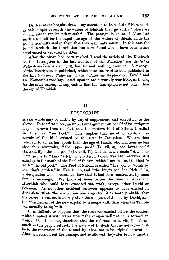Dr. Neubauer has also drawn my attention to Is. viii, 6: "Forasmuch as this people refuseth the waters of Shiloah that go softly," where we should rather render "despiseth." The passage looks as if Ahaz had made a conduit for the rapid passage of the waters of Siloah, while the people ironically said of them that they went only softly. In this case the tunnel in which the inscription baa been found would have been either constructed or repaired by Ahaz.

After the above had been revised, I read the article of Dr. Kautzsch on the Inscription in the last number of the *Zeit8chrift des deutsclum*  Palaestina-Vereins (iv. 1, 2), but learned nothing from it. A "copy" of the Inscription is published, which is as incorrect as that published in the last *Quarterly Statement* of the "Palestine Exploration Fund," and Dr. Kautzsch's readings based upon it are naturally worthless, as is also, for the same reason, his supposition that the Inscription is not older than the age of Hezekiah. . ----------- ---

## II

## POSTSCRIPT.

A FEW words may be added by way of supplement and correction to the above. In the first place, an important argument on behalf of its antiquity may be drawn from the fact that the modern Pool of Siloam is called in it simply *"the* Pool." This implies that no other artificial reservoir of the kind existed at the time in Jerusalem. We are thus referred to an earlier epoch than the age of Isaiah, who mentions no less than four reservoirs, "the upper pool" (Is. vii, 3), "the lower pool" (Is. xxii, 9), "the old pool" (Is. xxii, 11), and the newly made "ditch," or more properly "tank" (ib.). The latter, I fancy, was the reservoir still existing to the south of the Pool of Siloam, which I am inclined to identify with " the old pool." The Pool of Siloam is called " the pool of Siloah by the king's garden," in Neh. iii, 15, and "the king's pool," in Neh. ii, 14, a designation which seems to show that it had been constructed by some famous sovereign. We know of none before the time of Ahaz and Hezekiah who could have executed the work, except either David or Solomon. As no other artificial reservoir appears to have existed in Jerusalem when the inscription was engraved, it is more probable that the reservoir was made shortly after the conquest of Jebusi by David, and the encirclement of, the new capital hy a single wall, than when the Temple was actually being built.

It is difficult to suppose that the reservoir existed before the conduit which supplied it with water from "the dragon well," as it is termed in Neh. ii. 13. I believe, therefore, that the reference in Is. viii, 6-" forasmuch as this people refuseth the waters of Shiloah that go softly,"--must be to the reparation of the tunnel by Ahaz, not to its original excavation. Ahaz had cleared out the passage, and so allowed the water to flow rapidly